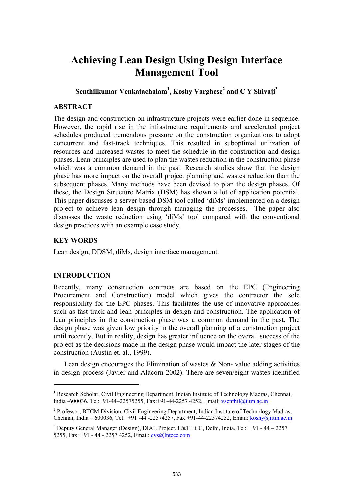# **Achieving Lean Design Using Design Interface Management Tool**

**Senthilkumar Venkatachalam1 , Koshy Varghese<sup>2</sup> and C Y Shivaji<sup>3</sup>**

## **ABSTRACT**

The design and construction on infrastructure projects were earlier done in sequence. However, the rapid rise in the infrastructure requirements and accelerated project schedules produced tremendous pressure on the construction organizations to adopt concurrent and fast-track techniques. This resulted in suboptimal utilization of resources and increased wastes to meet the schedule in the construction and design phases. Lean principles are used to plan the wastes reduction in the construction phase which was a common demand in the past. Research studies show that the design phase has more impact on the overall project planning and wastes reduction than the subsequent phases. Many methods have been devised to plan the design phases. Of these, the Design Structure Matrix (DSM) has shown a lot of application potential. This paper discusses a server based DSM tool called 'diMs' implemented on a design project to achieve lean design through managing the processes. The paper also discusses the waste reduction using 'diMs' tool compared with the conventional design practices with an example case study.

#### **KEY WORDS**

Lean design, DDSM, diMs, design interface management.

#### **INTRODUCTION**

l

Recently, many construction contracts are based on the EPC (Engineering Procurement and Construction) model which gives the contractor the sole responsibility for the EPC phases. This facilitates the use of innovative approaches such as fast track and lean principles in design and construction. The application of lean principles in the construction phase was a common demand in the past. The design phase was given low priority in the overall planning of a construction project until recently. But in reality, design has greater influence on the overall success of the project as the decisions made in the design phase would impact the later stages of the construction (Austin et. al., 1999).

Lean design encourages the Elimination of wastes & Non- value adding activities in design process (Javier and Alacorn 2002). There are seven/eight wastes identified

<sup>&</sup>lt;sup>1</sup> Research Scholar, Civil Engineering Department, Indian Institute of Technology Madras, Chennai, India -600036, Tel:+91-44–22575255, Fax:+91-44-2257 4252, Email: vsenthil@iitm.ac.in

<sup>&</sup>lt;sup>2</sup> Professor, BTCM Division, Civil Engineering Department, Indian Institute of Technology Madras, Chennai, India – 600036, Tel: +91 -44 -22574257, Fax:+91-44-22574252, Email: koshy@iitm.ac.in

<sup>&</sup>lt;sup>3</sup> Deputy General Manager (Design), DIAL Project, L&T ECC, Delhi, India, Tel: +91 - 44 - 2257 5255, Fax: +91 - 44 - 2257 4252, Email: cys@lntecc.com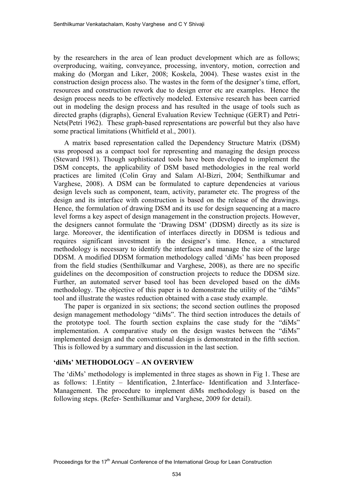by the researchers in the area of lean product development which are as follows; overproducing, waiting, conveyance, processing, inventory, motion, correction and making do (Morgan and Liker, 2008; Koskela, 2004). These wastes exist in the construction design process also. The wastes in the form of the designer's time, effort, resources and construction rework due to design error etc are examples. Hence the design process needs to be effectively modeled. Extensive research has been carried out in modeling the design process and has resulted in the usage of tools such as directed graphs (digraphs), General Evaluation Review Technique (GERT) and Petri-Nets(Petri 1962). These graph-based representations are powerful but they also have some practical limitations (Whitfield et al., 2001).

A matrix based representation called the Dependency Structure Matrix (DSM) was proposed as a compact tool for representing and managing the design process (Steward 1981). Though sophisticated tools have been developed to implement the DSM concepts, the applicability of DSM based methodologies in the real world practices are limited (Colin Gray and Salam Al-Bizri, 2004; Senthilkumar and Varghese, 2008). A DSM can be formulated to capture dependencies at various design levels such as component, team, activity, parameter etc. The progress of the design and its interface with construction is based on the release of the drawings. Hence, the formulation of drawing DSM and its use for design sequencing at a macro level forms a key aspect of design management in the construction projects. However, the designers cannot formulate the 'Drawing DSM' (DDSM) directly as its size is large. Moreover, the identification of interfaces directly in DDSM is tedious and requires significant investment in the designer's time. Hence, a structured methodology is necessary to identify the interfaces and manage the size of the large DDSM. A modified DDSM formation methodology called 'diMs' has been proposed from the field studies (Senthilkumar and Varghese, 2008), as there are no specific guidelines on the decomposition of construction projects to reduce the DDSM size. Further, an automated server based tool has been developed based on the diMs methodology. The objective of this paper is to demonstrate the utility of the "diMs" tool and illustrate the wastes reduction obtained with a case study example.

The paper is organized in six sections; the second section outlines the proposed design management methodology "diMs". The third section introduces the details of the prototype tool. The fourth section explains the case study for the "diMs" implementation. A comparative study on the design wastes between the "diMs" implemented design and the conventional design is demonstrated in the fifth section. This is followed by a summary and discussion in the last section.

#### **'diMs' METHODOLOGY – AN OVERVIEW**

The 'diMs' methodology is implemented in three stages as shown in Fig 1. These are as follows: 1.Entity – Identification, 2.Interface- Identification and 3.Interface-Management. The procedure to implement diMs methodology is based on the following steps. (Refer- Senthilkumar and Varghese, 2009 for detail).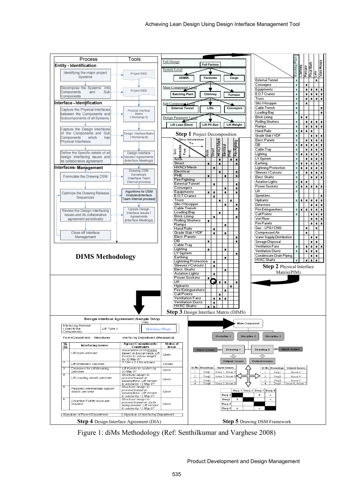

Figure 1: diMs Methodology (Ref: Senthilkumar and Varghese 2008)

Product Development and Design Management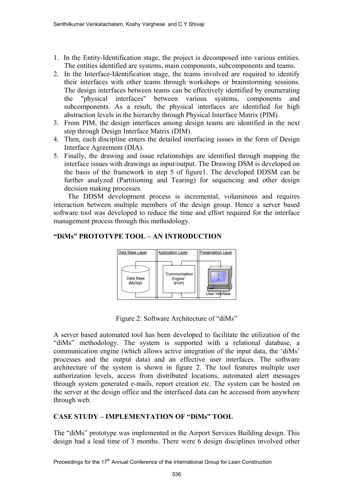- 1. In the Entity-Identification stage, the project is decomposed into various entities. The entities identified are systems, main components, subcomponents and teams.
- 2. In the Interface-Identification stage, the teams involved are required to identify their interfaces with other teams through workshops or brainstorming sessions. The design interfaces between teams can be effectively identified by enumerating the "physical interfaces" between various systems, components and subcomponents. As a result, the physical interfaces are identified for high abstraction levels in the hierarchy through Physical Interface Matrix (PIM).
- 3. From PIM, the design interfaces among design teams are identified in the next step through Design Interface Matrix (DIM).
- 4. Then, each discipline enters the detailed interfacing issues in the form of Design Interface Agreement (DIA).
- 5. Finally, the drawing and issue relationships are identified through mapping the interface issues with drawings as input/output. The Drawing DSM is developed on the basis of the framework in step 5 of figure1. The developed DDSM can be further analyzed (Partitioning and Tearing) for sequencing and other design decision making processes.

 The DDSM development process is incremental, voluminous and requires interaction between multiple members of the design group. Hence a server based software tool was developed to reduce the time and effort required for the interface management process through this methodology.

# **"DiMs" PROTOTYPE TOOL – AN INTRODUCTION**



Figure 2: Software Architecture of "diMs"

A server based automated tool has been developed to facilitate the utilization of the "diMs" methodology. The system is supported with a relational database, a communication engine (which allows active integration of the input data, the 'diMs' processes and the output data) and an effective user interfaces. The software architecture of the system is shown in figure 2. The tool features multiple user authorization levels, access from distributed locations, automated alert messages through system generated e-mails, report creation etc. The system can be hosted on the server at the design office and the interfaced data can be accessed from anywhere through web.

# **CASE STUDY – IMPLEMENTATION OF "DiMs" TOOL**

The "diMs" prototype was implemented in the Airport Services Building design. This design had a lead time of 3 months. There were 6 design disciplines involved other

Proceedings for the 17<sup>th</sup> Annual Conference of the International Group for Lean Construction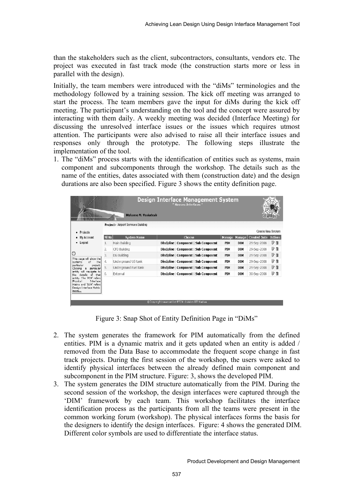than the stakeholders such as the client, subcontractors, consultants, vendors etc. The project was executed in fast track mode (the construction starts more or less in parallel with the design).

Initially, the team members were introduced with the "diMs" terminologies and the methodology followed by a training session. The kick off meeting was arranged to start the process. The team members gave the input for diMs during the kick off meeting. The participant's understanding on the tool and the concept were assured by interacting with them daily. A weekly meeting was decided (Interface Meeting) for discussing the unresolved interface issues or the issues which requires utmost attention. The participants were also advised to raise all their interface issues and responses only through the prototype. The following steps illustrate the implementation of the tool.

1. The "diMs" process starts with the identification of entities such as systems, main component and subcomponents through the workshop. The details such as the name of the entities, dates associated with them (construction date) and the design durations are also been specified. Figure 3 shows the entity definition page.

|                                                                                                                 |                  | Welcome M. Venkatesh<br>Project > Airport Services Building | <b>Design Interface Management System</b><br>" Weaves Interfaces" |            |            |                          |                |
|-----------------------------------------------------------------------------------------------------------------|------------------|-------------------------------------------------------------|-------------------------------------------------------------------|------------|------------|--------------------------|----------------|
| Projects<br>٠                                                                                                   |                  |                                                             |                                                                   |            |            | <b>Create New System</b> |                |
| My Account                                                                                                      | SI <sub>No</sub> | <b>System Name</b>                                          | Choose                                                            | Manage     | Manage     | <b>Created Date</b>      | <b>Actions</b> |
| Logout<br>٠                                                                                                     | 1.               | Main Building                                               | Discipline   Component   Sub Component                            | <b>PIM</b> | <b>DIM</b> | 29-Sep-2008              | 身育             |
|                                                                                                                 | 2.               | CFD Building                                                | Discipline   Component   Sub Component                            | PIM        | DIM        | 29-Sep-2008              | 計自             |
| Ø                                                                                                               | 3.               | DG Building                                                 | Discipline   Component   Sub Component                            | <b>PTM</b> | <b>DIM</b> | 29-Sep-2008              | 計自             |
| This page will show the<br>of<br>the<br>systems                                                                 | 4.               | Underground UG tank                                         | Discipline   Component   Sub Component                            | PIM        | DIM        | 29-Sep-2008              | 計              |
| particular<br>project.<br>particular<br>Clicking<br>$\blacksquare$                                              | 5.               | Underground Fuel tank                                       | Discipline   Component   Sub Component                            | <b>PIM</b> | <b>DIM</b> | 29-Sep-2008              | 身自             |
| navigate to<br>entity<br>that<br>of<br>the<br>details                                                           | 6.               | External                                                    | Discipline   Component   Sub Component                            | PIM        | DIM        | 30-Sep-2008              | P i            |
| entity. The 'PIM' refers<br>Interface<br>Physical<br>Matrix and 'DIM' refers<br>Design Interface Matrix<br>more |                  |                                                             | @Copy right reserved by BTCM division IIT Madras.                 |            |            |                          |                |

Figure 3: Snap Shot of Entity Definition Page in "DiMs"

- 2. The system generates the framework for PIM automatically from the defined entities. PIM is a dynamic matrix and it gets updated when an entity is added / removed from the Data Base to accommodate the frequent scope change in fast track projects. During the first session of the workshop, the users were asked to identify physical interfaces between the already defined main component and subcomponent in the PIM structure. Figure: 3, shows the developed PIM.
- 3. The system generates the DIM structure automatically from the PIM. During the second session of the workshop, the design interfaces were captured through the 'DIM' framework by each team. This workshop facilitates the interface identification process as the participants from all the teams were present in the common working forum (workshop). The physical interfaces forms the basis for the designers to identify the design interfaces. Figure: 4 shows the generated DIM. Different color symbols are used to differentiate the interface status.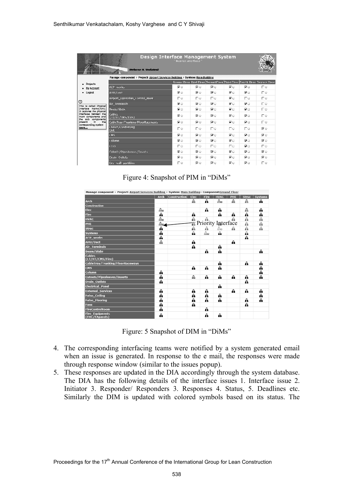| Design Interface Management System<br>Weaves Interfaces<br>Wekame N. Ventatesh |                                                                               |    |                         |            |    |    |                                                                              |  |
|--------------------------------------------------------------------------------|-------------------------------------------------------------------------------|----|-------------------------|------------|----|----|------------------------------------------------------------------------------|--|
|                                                                                | Manage component ▶ Project: Airport Services Building ▶ System: Hain Building |    |                         |            |    |    |                                                                              |  |
| Projects                                                                       |                                                                               |    |                         |            |    |    | Ground Floor First Floor Second Floor Third Floor Fourth Floor Terrace Floor |  |
| <b>My Account</b>                                                              | ACP works                                                                     | Fο | দি⊜                     | 区口         | Eg | ИQ | ПQ                                                                           |  |
| Logout                                                                         | AHH/Duct                                                                      | 区口 | Ρ⊎                      | 区域         | 同量 | Ρ⊎ | Πυ                                                                           |  |
|                                                                                | Airport Operation Control room                                                | ΠΘ | ΓU                      | 口口         | 区局 | 口口 | ΠΨ                                                                           |  |
| Ø<br>This is called Physical                                                   | Air Terminals                                                                 | F. | ΠΘ                      | 臣申         | 同日 | ΓΘ | ΠΘ                                                                           |  |
| Interface Matrix(PIM).<br>It captures the physical                             | Beam/Slabs                                                                    | Fо | ⊽⊜                      | ΓΘ         | ΡΘ | ΓO | ПΘ                                                                           |  |
| Interfaces between the<br>components and<br>main<br>sub components<br>tha      | Cables<br>$(11/111/CMS/1$ ire)                                                | ₽Θ | FQ                      | $F \oplus$ | 巨量 | FΘ | ПΦ                                                                           |  |
| the<br>present<br>In<br>corresponding system                                   | CableTray/Trunking/FlourRaceways                                              | Fo | 区口                      | 区口         | FQ | Fч | ΠQ                                                                           |  |
| more                                                                           | chiller/Condensing<br>Unit                                                    | ПΘ | ПΦ                      | ΠQ         | ΠQ | ПQ | ΓQ                                                                           |  |
|                                                                                | <b>CMS</b>                                                                    | 区口 | RΘ                      | 区中         | 区域 | 反日 | 反じ                                                                           |  |
|                                                                                | Calumn                                                                        | 区口 | 反じ                      | 区域         | 区域 | ΡΘ | 区口                                                                           |  |
|                                                                                | COO                                                                           | ΠĐ | ПО                      | 口口         | ΠQ | RΘ | ΠŪ                                                                           |  |
|                                                                                | Cutouts/Pipesleeves/Tuserls                                                   | ΡΘ | Fo                      | $F \cup$   | Fо | MО | ΓΘ                                                                           |  |
|                                                                                | Drain Outlets                                                                 | ΡΘ | $\overline{v}$ $\oplus$ | ΓQ         | 同員 | FQ | ⊽⊙                                                                           |  |
|                                                                                | Dry wall partition                                                            | ПΘ | 区口                      | 区の         | ИQ | ИQ | ΠQ                                                                           |  |

Figure 4: Snapshot of PIM in "DiMs"

| Manage component > Project: Airport Services Building > System: Main Building > Component:Ground Floor |      |                     |      |                    |             |     |              |                |
|--------------------------------------------------------------------------------------------------------|------|---------------------|------|--------------------|-------------|-----|--------------|----------------|
|                                                                                                        | Arch | <b>Construction</b> | Elec | Fire               | <b>HVAC</b> | PHE | <b>Struc</b> | <b>Systems</b> |
| Arch                                                                                                   |      |                     | ⋒    | Α                  | ி           | ⋒   | ⋒            | А              |
| <b>Construction</b>                                                                                    |      |                     |      |                    |             |     |              |                |
| Elec                                                                                                   | ி    |                     |      | A                  | A           |     | ⋒            | â              |
| <b>Fire</b>                                                                                            | A    |                     | â    |                    | А           | Α   | A            | Α              |
| <b>HVAC</b>                                                                                            | ி    |                     | A    | â                  |             | £à  | €            | A              |
| PHE                                                                                                    | ி-   |                     | 譶    | Priority Interface |             |     | ଈ            | €              |
| <b>Struc</b>                                                                                           | A    |                     | ĥ.   | ଈ                  | bila        | ଈ   | €            | A              |
| <b>Systems</b>                                                                                         | A    |                     | A    | ଈ                  | A           |     | €            |                |
| <b>ACP</b> works                                                                                       | ക    |                     |      |                    |             |     | A            |                |
| <b>AHU/Duct</b>                                                                                        | ⋒    |                     | â    |                    |             | A   |              |                |
| <b>Air_Terminals</b>                                                                                   |      |                     | â    |                    | А           |     |              |                |
| <b>Beam/Slabs</b>                                                                                      |      |                     |      | Α                  | â           |     |              | A              |
| <b>Cables</b><br>(LT/HT/CMS/Fire)                                                                      |      |                     |      |                    |             |     |              |                |
| CableTray/Trunking/FloorRaceways                                                                       |      |                     |      |                    | A           |     | $\mathbf{a}$ | ⋒              |
| <b>CMS</b>                                                                                             |      |                     | А    | Α                  | A           |     |              | ⋒              |
| Column                                                                                                 | A    |                     |      |                    |             |     |              | A              |
| <b>Cutouts/Pipesleeves/Inserts</b>                                                                     | A    |                     | ⋒    | Α                  | А           | A   | A            | Ѧ              |
| <b>Drain Outlets</b>                                                                                   | â    |                     |      |                    |             |     | A            |                |
| <b>Electrical Panel</b>                                                                                |      |                     |      |                    | А           |     |              |                |
| <b>External Services</b>                                                                               | А    |                     | А    | Α                  |             | А   | $\mathbf{a}$ | А              |
| <b>False_Ceiling</b>                                                                                   | A    |                     | А    | Α                  | A           |     |              | Α              |
| <b>False Flooring</b>                                                                                  | A    |                     | А    | Α                  | A           |     | A            | ക              |
| <b>Fans</b>                                                                                            | A    |                     | A    |                    |             |     | A            |                |
| <b>FireControlRoom</b>                                                                                 | A    |                     |      | A                  |             |     |              |                |
| <b>Fire Equipments</b><br>(FHC/FApanels)                                                               | A    |                     |      | Α                  | â           |     |              |                |

Figure: 5 Snapshot of DIM in "DiMs"

- 4. The corresponding interfacing teams were notified by a system generated email when an issue is generated. In response to the e mail, the responses were made through response window (similar to the issues popup).
- 5. These responses are updated in the DIA accordingly through the system database. The DIA has the following details of the interface issues 1. Interface issue 2. Initiator 3. Responder/ Responders 3. Responses 4. Status, 5. Deadlines etc. Similarly the DIM is updated with colored symbols based on its status. The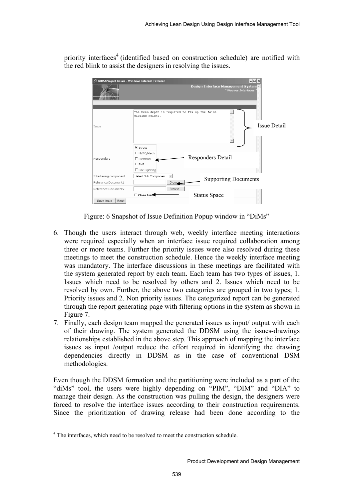priority interfaces<sup>4</sup> (identified based on construction schedule) are notified with the red blink to assist the designers in resolving the issues.



Figure: 6 Snapshot of Issue Definition Popup window in "DiMs"

- 6. Though the users interact through web, weekly interface meeting interactions were required especially when an interface issue required collaboration among three or more teams. Further the priority issues were also resolved during these meetings to meet the construction schedule. Hence the weekly interface meeting was mandatory. The interface discussions in these meetings are facilitated with the system generated report by each team. Each team has two types of issues, 1. Issues which need to be resolved by others and 2. Issues which need to be resolved by own. Further, the above two categories are grouped in two types; 1. Priority issues and 2. Non priority issues. The categorized report can be generated through the report generating page with filtering options in the system as shown in Figure 7.
- 7. Finally, each design team mapped the generated issues as input/ output with each of their drawing. The system generated the DDSM using the issues-drawings relationships established in the above step. This approach of mapping the interface issues as input /output reduce the effort required in identifying the drawing dependencies directly in DDSM as in the case of conventional DSM methodologies.

Even though the DDSM formation and the partitioning were included as a part of the "diMs" tool, the users were highly depending on "PIM", "DIM" and "DIA" to manage their design. As the construction was pulling the design, the designers were forced to resolve the interface issues according to their construction requirements. Since the prioritization of drawing release had been done according to the

l

<sup>&</sup>lt;sup>4</sup> The interfaces, which need to be resolved to meet the construction schedule.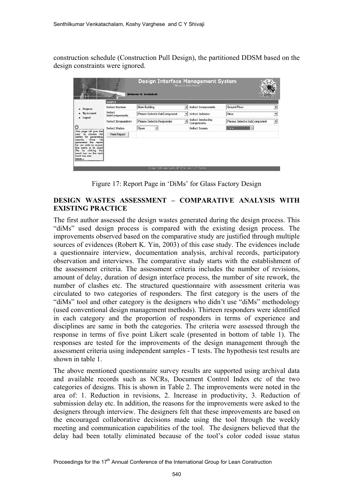construction schedule (Construction Pull Design), the partitioned DDSM based on the design constraints were ignored.

| Design Interface Management System<br>Weaves Interfaces"<br><b>Sup</b><br>Welcome M. Venkatesh<br>- |                                |                              |                |                                 |                              |    |  |
|-----------------------------------------------------------------------------------------------------|--------------------------------|------------------------------|----------------|---------------------------------|------------------------------|----|--|
|                                                                                                     | Search                         |                              |                |                                 |                              |    |  |
| <b>Projects</b>                                                                                     | Select System                  | Main Building                |                | <b>Select Components</b>        | Ground Floor                 |    |  |
| My Account                                                                                          | Select<br><b>SubComponents</b> | Please Select a SubComponent | $\blacksquare$ | <b>Select Initiator</b>         | Struc                        |    |  |
| Logout<br>٠                                                                                         | <b>Select Responders</b>       | Please Select a Responder    | $\blacksquare$ | Select Intefacing<br>Components | Please Select a SubComponent | ۰, |  |
| O<br>This page will give the                                                                        | Select Status                  | Open                         |                | <b>Select Tssues</b>            | Cutial                       |    |  |
| choose his<br>bn.<br>luser<br>for generating<br>option                                              | View Report                    |                              |                |                                 |                              |    |  |
| Onre<br>he<br>reports.<br>generated the report<br>he can able to export                             |                                |                              |                |                                 |                              |    |  |
| the same in to<br>excel<br>by clicking the<br>file<br>excel icon on the right                       |                                |                              |                |                                 |                              |    |  |
| hand top side<br>more                                                                               |                                |                              |                |                                 |                              |    |  |
| StCopy right reperied by BTCM division IIT Madree                                                   |                                |                              |                |                                 |                              |    |  |

Figure 17: Report Page in 'DiMs' for Glass Factory Design

# **DESIGN WASTES ASSESSMENT – COMPARATIVE ANALYSIS WITH EXISTING PRACTICE**

The first author assessed the design wastes generated during the design process. This "diMs" used design process is compared with the existing design process. The improvements observed based on the comparative study are justified through multiple sources of evidences (Robert K. Yin, 2003) of this case study. The evidences include a questionnaire interview, documentation analysis, archival records, participatory observation and interviews. The comparative study starts with the establishment of the assessment criteria. The assessment criteria includes the number of revisions, amount of delay, duration of design interface process, the number of site rework, the number of clashes etc. The structured questionnaire with assessment criteria was circulated to two categories of responders. The first category is the users of the "diMs" tool and other category is the designers who didn't use "diMs" methodology (used conventional design management methods). Thirteen responders were identified in each category and the proportion of responders in terms of experience and disciplines are same in both the categories. The criteria were assessed through the response in terms of five point Likert scale (presented in bottom of table 1). The responses are tested for the improvements of the design management through the assessment criteria using independent samples - T tests. The hypothesis test results are shown in table 1.

The above mentioned questionnaire survey results are supported using archival data and available records such as NCRs, Document Control Index etc of the two categories of designs. This is shown in Table 2. The improvements were noted in the area of: 1. Reduction in revisions, 2. Increase in productivity, 3. Reduction of submission delay etc. In addition, the reasons for the improvements were asked to the designers through interview. The designers felt that these improvements are based on the encouraged collaborative decisions made using the tool through the weekly meeting and communication capabilities of the tool. The designers believed that the delay had been totally eliminated because of the tool's color coded issue status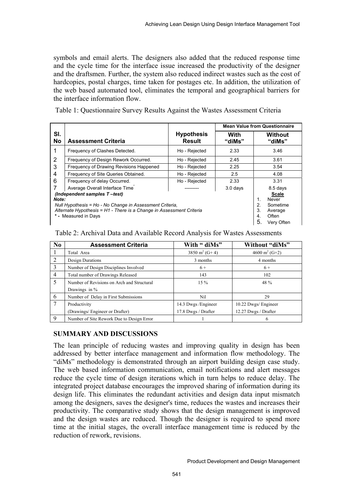symbols and email alerts. The designers also added that the reduced response time and the cycle time for the interface issue increased the productivity of the designer and the draftsmen. Further, the system also reduced indirect wastes such as the cost of hardcopies, postal charges, time taken for postages etc. In addition, the utilization of the web based automated tool, eliminates the temporal and geographical barriers for the interface information flow.

Table 1: Questionnaire Survey Results Against the Wastes Assessment Criteria

|                                                                                                                                                                                                   |                                                                                                               |                                    |                | <b>Mean Value from Questionnaire</b> |
|---------------------------------------------------------------------------------------------------------------------------------------------------------------------------------------------------|---------------------------------------------------------------------------------------------------------------|------------------------------------|----------------|--------------------------------------|
| SI.<br>No                                                                                                                                                                                         | <b>Assessment Criteria</b>                                                                                    | <b>Hypothesis</b><br><b>Result</b> | With<br>"diMs" | <b>Without</b><br>"diMs"             |
| 1                                                                                                                                                                                                 | Frequency of Clashes Detected.                                                                                | Ho - Rejected                      | 2.33           | 3.46                                 |
| 2                                                                                                                                                                                                 | Frequency of Design Rework Occurred.                                                                          | Ho - Rejected                      | 2.45           | 3.61                                 |
| 3                                                                                                                                                                                                 | Frequency of Drawing Revisions Happened                                                                       | Ho - Rejected                      | 2.25           | 3.54                                 |
| 4                                                                                                                                                                                                 | Frequency of Site Queries Obtained.                                                                           | Ho - Rejected                      | 2.5            | 4.08                                 |
| 6                                                                                                                                                                                                 | Frequency of delay Occurred.                                                                                  | Ho - Rejected                      | 2.33           | 3.31                                 |
|                                                                                                                                                                                                   | Average Overall Interface Time                                                                                |                                    | $3.0$ days     | 8.5 days                             |
| (Independent samples T-test)<br>Note:<br>Null Hypothesis = Ho - No Change in Assessment Criteria,<br>Alternate Hypothesis = H1 - There is a Change in Assessment Criteria<br>* - Measured in Days | Scale<br>$\mathbf{1}$ .<br><b>Never</b><br>2.<br>Sometime<br>3.<br>Average<br>Often<br>4.<br>5.<br>Very Often |                                    |                |                                      |

| Table 2: Archival Data and Available Record Analysis for Wastes Assessments |  |  |
|-----------------------------------------------------------------------------|--|--|
|                                                                             |  |  |

| N <sub>0</sub> | <b>Assessment Criteria</b>                 | With " diMs"              | Without "diMs"            |
|----------------|--------------------------------------------|---------------------------|---------------------------|
|                | Total Area                                 | 3850 m <sup>2</sup> (G+4) | 4600 m <sup>2</sup> (G+2) |
| 2              | Design Durations                           | 3 months                  | 4 months                  |
| 3              | Number of Design Disciplines Involved      | $6+$                      | $6+$                      |
| $\overline{4}$ | Total number of Drawings Released          | 143                       | 102                       |
| 5              | Number of Revisions on Arch and Structural | $15\%$                    | 48 %                      |
|                | Drawings in %                              |                           |                           |
| 6              | Number of Delay in First Submissions       | Nil                       | 29                        |
| 7              | Productivity                               | 14.3 Dwgs / Engineer      | 10.22 Dwgs/ Engineer      |
|                | (Drawings/ Engineer or Drafter)            | 17.8 Dwgs / Drafter       | 12.27 Dwgs / Drafter      |
| $\mathbf Q$    | Number of Site Rework Due to Design Error  |                           | 6                         |

# **SUMMARY AND DISCUSSIONS**

The lean principle of reducing wastes and improving quality in design has been addressed by better interface management and information flow methodology. The "diMs" methodology is demonstrated through an airport building design case study. The web based information communication, email notifications and alert messages reduce the cycle time of design iterations which in turn helps to reduce delay. The integrated project database encourages the improved sharing of information during its design life. This eliminates the redundant activities and design data input mismatch among the designers, saves the designer's time, reduces the wastes and increases their productivity. The comparative study shows that the design management is improved and the design wastes are reduced. Though the designer is required to spend more time at the initial stages, the overall interface management time is reduced by the reduction of rework, revisions.